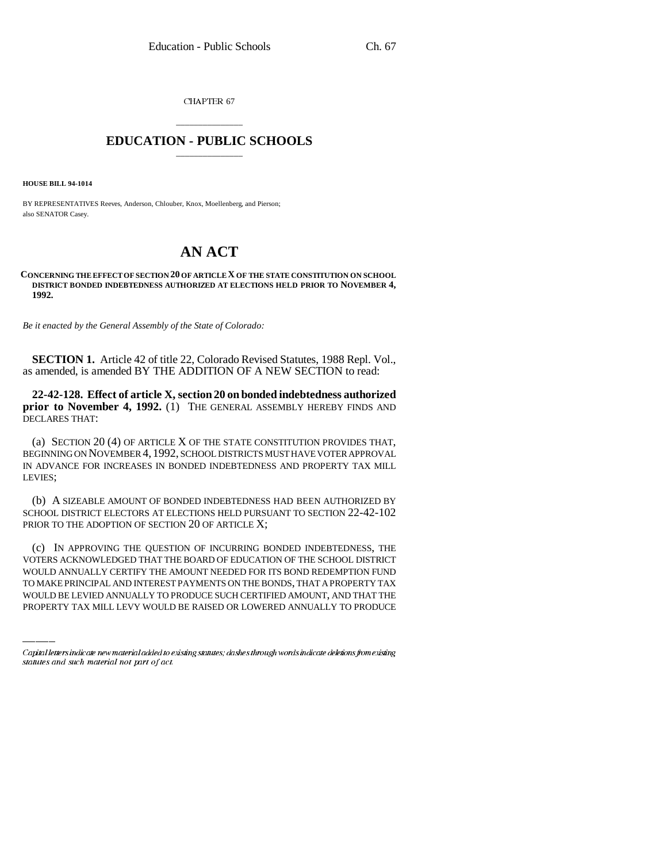CHAPTER 67

## \_\_\_\_\_\_\_\_\_\_\_\_\_\_\_ **EDUCATION - PUBLIC SCHOOLS** \_\_\_\_\_\_\_\_\_\_\_\_\_\_\_

**HOUSE BILL 94-1014**

BY REPRESENTATIVES Reeves, Anderson, Chlouber, Knox, Moellenberg, and Pierson; also SENATOR Casey.

## **AN ACT**

## **CONCERNING THE EFFECT OF SECTION 20 OF ARTICLE X OF THE STATE CONSTITUTION ON SCHOOL DISTRICT BONDED INDEBTEDNESS AUTHORIZED AT ELECTIONS HELD PRIOR TO NOVEMBER 4, 1992.**

*Be it enacted by the General Assembly of the State of Colorado:*

**SECTION 1.** Article 42 of title 22, Colorado Revised Statutes, 1988 Repl. Vol., as amended, is amended BY THE ADDITION OF A NEW SECTION to read:

**22-42-128. Effect of article X, section 20 on bonded indebtedness authorized prior to November 4, 1992.** (1) THE GENERAL ASSEMBLY HEREBY FINDS AND DECLARES THAT:

(a) SECTION 20 (4) OF ARTICLE X OF THE STATE CONSTITUTION PROVIDES THAT, BEGINNING ON NOVEMBER 4, 1992, SCHOOL DISTRICTS MUST HAVE VOTER APPROVAL IN ADVANCE FOR INCREASES IN BONDED INDEBTEDNESS AND PROPERTY TAX MILL LEVIES;

(b) A SIZEABLE AMOUNT OF BONDED INDEBTEDNESS HAD BEEN AUTHORIZED BY SCHOOL DISTRICT ELECTORS AT ELECTIONS HELD PURSUANT TO SECTION 22-42-102 PRIOR TO THE ADOPTION OF SECTION 20 OF ARTICLE X;

VOTERS ACKNOWLEDGED THAT THE BOARD OF EDUCATION OF THE SCHOOL DISTRICT (c) IN APPROVING THE QUESTION OF INCURRING BONDED INDEBTEDNESS, THE WOULD ANNUALLY CERTIFY THE AMOUNT NEEDED FOR ITS BOND REDEMPTION FUND TO MAKE PRINCIPAL AND INTEREST PAYMENTS ON THE BONDS, THAT A PROPERTY TAX WOULD BE LEVIED ANNUALLY TO PRODUCE SUCH CERTIFIED AMOUNT, AND THAT THE PROPERTY TAX MILL LEVY WOULD BE RAISED OR LOWERED ANNUALLY TO PRODUCE

Capital letters indicate new material added to existing statutes; dashes through words indicate deletions from existing statutes and such material not part of act.